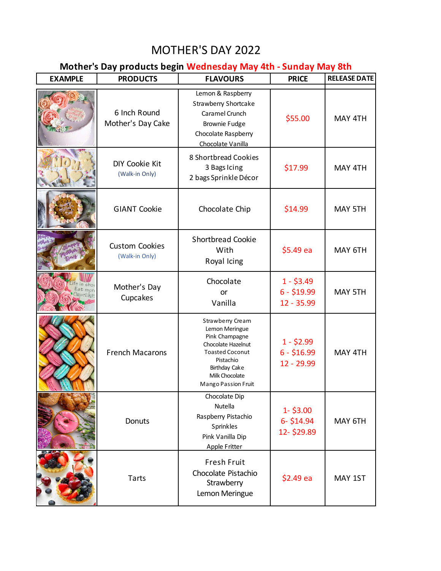## MOTHER'S DAY 2022

## **Mother's Day products begin Wednesday May 4th - Sunday May 8th**

| <b>EXAMPLE</b>           | <b>PRODUCTS</b>                         | <b>FLAVOURS</b>                                                                                                                                                                    | <b>PRICE</b>                              | <b>RELEASE DATE</b> |
|--------------------------|-----------------------------------------|------------------------------------------------------------------------------------------------------------------------------------------------------------------------------------|-------------------------------------------|---------------------|
|                          | 6 Inch Round<br>Mother's Day Cake       | Lemon & Raspberry<br>Strawberry Shortcake<br>Caramel Crunch<br><b>Brownie Fudge</b><br>Chocolate Raspberry<br>Chocolate Vanilla                                                    | \$55.00                                   | MAY 4TH             |
|                          | <b>DIY Cookie Kit</b><br>(Walk-in Only) | 8 Shortbread Cookies<br>3 Bags Icing<br>2 bags Sprinkle Décor                                                                                                                      | \$17.99                                   | MAY 4TH             |
|                          | <b>GIANT Cookie</b>                     | Chocolate Chip                                                                                                                                                                     | \$14.99                                   | MAY 5TH             |
|                          | <b>Custom Cookies</b><br>(Walk-in Only) | <b>Shortbread Cookie</b><br>With<br>Royal Icing                                                                                                                                    | \$5.49 ea                                 | MAY 6TH             |
| Shn<br>Eat mor<br>upeake | Mother's Day<br>Cupcakes                | Chocolate<br>or<br>Vanilla                                                                                                                                                         | $1 - $3.49$<br>$6 - $19.99$<br>12 - 35.99 | MAY 5TH             |
|                          | <b>French Macarons</b>                  | Strawberry Cream<br>Lemon Meringue<br>Pink Champagne<br>Chocolate Hazelnut<br><b>Toasted Coconut</b><br>Pistachio<br><b>Birthday Cake</b><br>Milk Chocolate<br>Mango Passion Fruit | $1 - $2.99$<br>$6 - $16.99$<br>12 - 29.99 | MAY 4TH             |
|                          | Donuts                                  | Chocolate Dip<br>Nutella<br>Raspberry Pistachio<br>Sprinkles<br>Pink Vanilla Dip<br><b>Apple Fritter</b>                                                                           | $1 - $3.00$<br>6- \$14.94<br>12-\$29.89   | MAY 6TH             |
|                          | Tarts                                   | Fresh Fruit<br>Chocolate Pistachio<br>Strawberry<br>Lemon Meringue                                                                                                                 | \$2.49 ea                                 | MAY 1ST             |